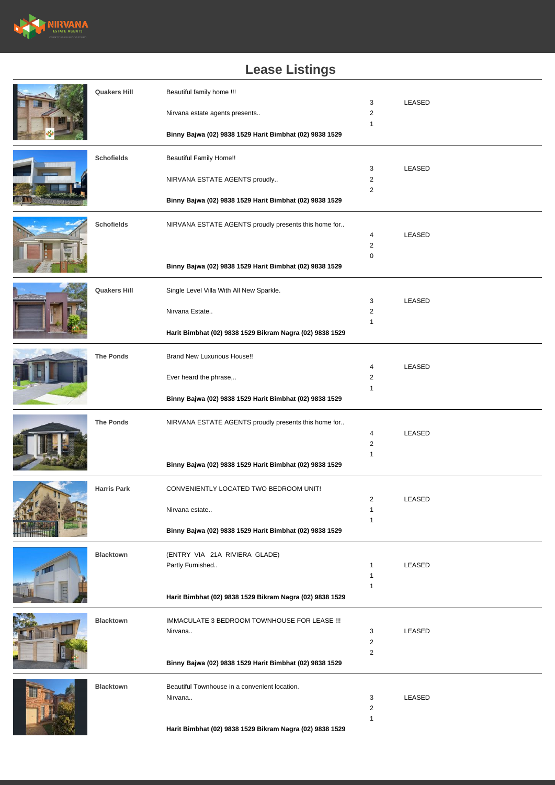

## **Lease Listings**

|  | <b>Quakers Hill</b> | Beautiful family home !!!                                |                                |        |
|--|---------------------|----------------------------------------------------------|--------------------------------|--------|
|  |                     |                                                          | 3<br>2                         | LEASED |
|  |                     | Nirvana estate agents presents                           | 1                              |        |
|  |                     | Binny Bajwa (02) 9838 1529 Harit Bimbhat (02) 9838 1529  |                                |        |
|  | <b>Schofields</b>   | <b>Beautiful Family Home!!</b>                           |                                |        |
|  |                     | NIRVANA ESTATE AGENTS proudly                            | 3<br>2                         | LEASED |
|  |                     |                                                          | 2                              |        |
|  |                     | Binny Bajwa (02) 9838 1529 Harit Bimbhat (02) 9838 1529  |                                |        |
|  | <b>Schofields</b>   | NIRVANA ESTATE AGENTS proudly presents this home for     |                                |        |
|  |                     |                                                          | 4<br>$\overline{2}$            | LEASED |
|  |                     |                                                          | 0                              |        |
|  |                     | Binny Bajwa (02) 9838 1529 Harit Bimbhat (02) 9838 1529  |                                |        |
|  | <b>Quakers Hill</b> | Single Level Villa With All New Sparkle.                 |                                |        |
|  |                     | Nirvana Estate                                           | 3<br>$\overline{2}$            | LEASED |
|  |                     |                                                          | $\mathbf{1}$                   |        |
|  |                     | Harit Bimbhat (02) 9838 1529 Bikram Nagra (02) 9838 1529 |                                |        |
|  | <b>The Ponds</b>    | <b>Brand New Luxurious House!!</b>                       |                                |        |
|  |                     | Ever heard the phrase,                                   | 4<br>$\overline{2}$            | LEASED |
|  |                     |                                                          | $\mathbf{1}$                   |        |
|  |                     | Binny Bajwa (02) 9838 1529 Harit Bimbhat (02) 9838 1529  |                                |        |
|  | <b>The Ponds</b>    | NIRVANA ESTATE AGENTS proudly presents this home for     |                                |        |
|  |                     |                                                          | 4<br>$\overline{2}$            | LEASED |
|  |                     |                                                          | 1                              |        |
|  |                     | Binny Bajwa (02) 9838 1529 Harit Bimbhat (02) 9838 1529  |                                |        |
|  | <b>Harris Park</b>  | CONVENIENTLY LOCATED TWO BEDROOM UNIT!                   |                                |        |
|  |                     | Nirvana estate                                           | 2<br>1                         | LEASED |
|  |                     |                                                          | $\mathbf{1}$                   |        |
|  |                     | Binny Bajwa (02) 9838 1529 Harit Bimbhat (02) 9838 1529  |                                |        |
|  | <b>Blacktown</b>    | (ENTRY VIA 21A RIVIERA GLADE)                            |                                |        |
|  |                     | Partly Furnished                                         | $\mathbf{1}$                   | LEASED |
|  |                     |                                                          | $\mathbf{1}$<br>$\mathbf{1}$   |        |
|  |                     | Harit Bimbhat (02) 9838 1529 Bikram Nagra (02) 9838 1529 |                                |        |
|  | <b>Blacktown</b>    | IMMACULATE 3 BEDROOM TOWNHOUSE FOR LEASE !!!             |                                |        |
|  |                     | Nirvana                                                  | 3                              | LEASED |
|  |                     |                                                          | $\overline{2}$<br>$\mathbf{2}$ |        |
|  |                     | Binny Bajwa (02) 9838 1529 Harit Bimbhat (02) 9838 1529  |                                |        |
|  | <b>Blacktown</b>    | Beautiful Townhouse in a convenient location.            |                                |        |
|  |                     | Nirvana                                                  | 3                              | LEASED |
|  |                     |                                                          | 2<br>$\mathbf{1}$              |        |
|  |                     | Harit Bimbhat (02) 9838 1529 Bikram Nagra (02) 9838 1529 |                                |        |